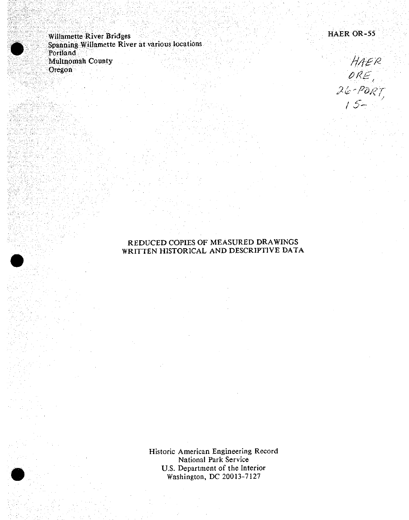Willamette River Bridges **HAER OR-55** Spanning Willamette River at various locations, Portland Muitnomah County

HAER<br>ORE,<br>26-PORT,<br>15-

## REDUCED COPIES OF MEASURED DRAWINGS WRITTEN HISTORICAL AND DESCRIPTIVE DATA

Historic American Engineering Record National Park Service U.S. Department of the Interior Washington, DC 20013-7127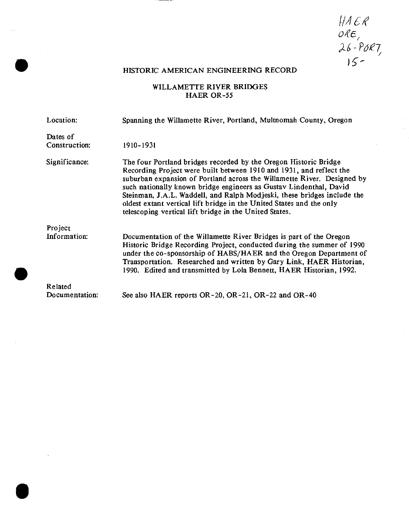*ofe, n- P^Z*

# HISTORIC AMERICAN ENGINEERING RECORD

## WILLAMETTE RIVER BRIDGES HAER OR-55

| Location:                 | Spanning the Willamette River, Portland, Multnomah County, Oregon                                                                                                                                                                                                                                                                                                                                                                                                                                     |
|---------------------------|-------------------------------------------------------------------------------------------------------------------------------------------------------------------------------------------------------------------------------------------------------------------------------------------------------------------------------------------------------------------------------------------------------------------------------------------------------------------------------------------------------|
| Dates of<br>Construction: | 1910-1931                                                                                                                                                                                                                                                                                                                                                                                                                                                                                             |
| Significance:             | The four Portland bridges recorded by the Oregon Historic Bridge<br>Recording Project were built between 1910 and 1931, and reflect the<br>suburban expansion of Portland across the Willamette River. Designed by<br>such nationally known bridge engineers as Gustav Lindenthal, David<br>Steinman, J.A.L. Waddell, and Ralph Modjeski, these bridges include the<br>oldest extant vertical lift bridge in the United States and the only<br>telescoping vertical lift bridge in the United States. |
| Project<br>Information:   | Documentation of the Willamette River Bridges is part of the Oregon<br>Historic Bridge Recording Project, conducted during the summer of 1990<br>under the co-sponsorship of HABS/HAER and the Oregon Department of<br>Transportation. Researched and written by Gary Link, HAER Historian,<br>1990. Edited and transmitted by Lola Bennett, HAER Historian, 1992.                                                                                                                                    |
| Related<br>Documentation: | See also HAER reports OR-20, OR-21, OR-22 and OR-40                                                                                                                                                                                                                                                                                                                                                                                                                                                   |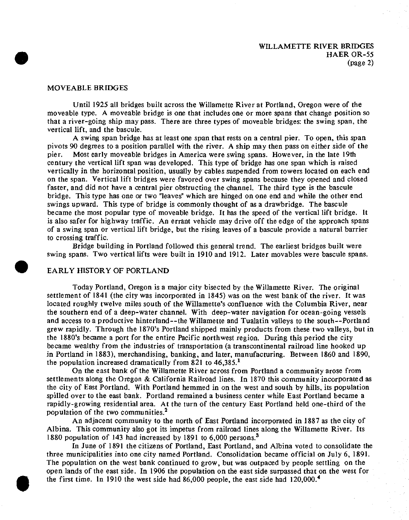### WILLAMETTE RIVER BRIDGES HAER OR-55 (page 2)

#### MOVEABLE BRIDGES

Until 1925 all bridges built across the Willamette River at Portland, Oregon were of the moveable type. A moveable bridge is one that includes one or more spans that change position so that a river-going ship may pass. There are three types of moveable bridges: the swing span, the vertical lift, and the bascule.

A swing span bridge has at least one span that rests on a central pier. To open, this span pivots 90 degrees to a position parallel with the river. A ship may then pass on either side of the pier. Most early moveable bridges in America were swing spans. However, in the late 19th century the vertical lift span was developed. This type of bridge has one span which is raised vertically in the horizontal position, usually by cables suspended from towers located on each end on the span. Vertical lift bridges were favored over swing spans because they opened and closed faster, and did not have a central pier obstructing the channel. The third type is the bascule bridge. This type has one or two "leaves" which are hinged on one end and while the other end swings upward. This type of bridge is commonly thought of as a drawbridge. The bascule became the most popular type of moveable bridge. It has the speed of the vertical lift bridge. It is also safer for highway traffic. An errant vehicle may drive off the edge of the approach spans of a swing span or vertical lift bridge, but the rising leaves of a bascule provide a natural barrier to crossing traffic.

Bridge building in Portland followed this general trend. The earliest bridges built were swing spans. Two vertical lifts were built in 1910 and 1912. Later movables were bascule spans.

#### EARLY HISTORY OF PORTLAND

Today Portland, Oregon is a major city bisected by the Willamette River. The original settlement of 1841 (the city was incorporated in 1845) was on the west bank of the river. It was located roughly twelve miles south of the Willamette's confluence with the Columbia River, near the southern end of a deep-water channel. With deep-water navigation for ocean-going vessels and access to a productive hinterland—the Willamette and Tualatin valleys to the south—Portland grew rapidly. Through the 1870's Portland shipped mainly products from these two valleys, but in the 1880\*s became a port for the entire Pacific northwest region. During this period the city became wealthy from the industries of transportation (a transcontinental railroad line hooked up in Portland in 1883), merchandising, banking, and later, manufacturing. Between 1860 and 1890, the population increased dramatically from 821 to  $46.385$ <sup>1</sup>

On the east bank of the Willamette River across from Portland a community arose from settlements along the Oregon & California Railroad lines. In 1870 this community incorporated as the city of East Portland. With Portland hemmed in on the west and south by hills, its population spilled over to the east bank. Portland remained a business center while East Portland became a rapidly-growing residential area. At the turn of the century East Portland held one-third of the population of the two communities.<sup>2</sup>

An adjacent community to the north of East Portland incorporated in 1887 as the city of Albina. This community also got its impetus from railroad lines along the Willamette River. Its 1880 population of 143 had increased by 1891 to 6,000 persons.<sup>3</sup>

In June of 1891 the citizens of Portland, East Portland, and Albina voted to consolidate the three municipalities into one city named Portland. Consolidation became official on July 6, 1891. The population on the west bank continued to grow, but was outpaced by people settling on the open lands of the east side. In 1906 the population on the east side surpassed that on the west for the first time. In 1910 the west side had 86,000 people, the east side had  $120,000$ .<sup>4</sup>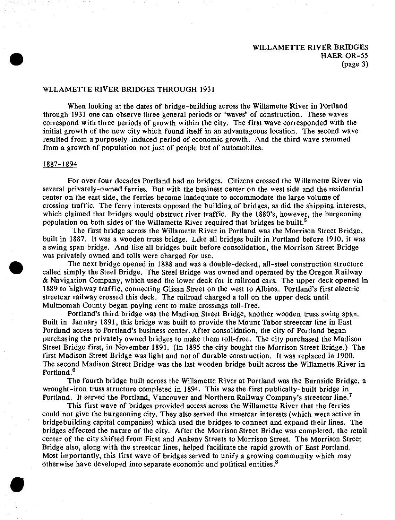#### WLLAMETTE RIVER BRIDGES THROUGH 1931

When looking at the dates of bridge-building across the Willamette River in Portland through 1931 one can observe three general periods or "waves" of construction. These waves correspond with three periods of growth within the city. The first wave corresponded with the initial growth of the new city which found itself in an advantageous location. The second wave resulted from a purposely-induced period of economic growth. And the third wave stemmed from a growth of population not just of people but of automobiles.

#### 1887-1894

For over four decades Portland had no bridges. Citizens crossed the Willamette River via several privately-owned ferries. But with the business center on the west side and the residential center on the east side, the ferries became inadequate to accommodate the large volume of crossing traffic. The ferry interests opposed the building of bridges, as did the shipping interests, which claimed that bridges would obstruct river traffic. By the 1880's, however, the burgeoning population on both sides of the Willamette River required that bridges be built.<sup>5</sup>

The first bridge across the Willamette River in Portland was the Morrison Street Bridge, built in 1887. It was a wooden truss bridge. Like all bridges built in Portland before 1910, it was a swing span bridge. And like all bridges built before consolidation, the Morrison Street Bridge was privately owned and tolls were charged for use.

The next bridge opened in 1888 and was a double-decked, all-steel construction structure called simply the Steel Bridge. The Steel Bridge was owned and operated by the Oregon Railway & Navigation Company, which used the lower deck for it railroad cars. The upper deck opened in 1889 to highway traffic, connecting Glisan Street on the west to Albina. Portland's first electric streetcar railway crossed this deck. The railroad charged a toll on the upper deck until Multnomah County began paying rent to make crossings toll-free.

Portland's third bridge was the Madison Street Bridge, another wooden truss swing span. Built in January 1891, this bridge was built to provide the Mount Tabor streetcar line in East Portland access to Portland's business center. After consolidation, the city of Portland began purchasing the privately owned bridges to make them toll-free. The city purchased the Madison Street Bridge first, in November 1891. (In 1895 the city bought the Morrison Street Bridge.) The first Madison Street Bridge was light and not of durable construction. It was replaced in 1900. The second Madison Street Bridge was the last wooden bridge built across the Willamette River in Portland.<sup>6</sup>

The fourth bridge built across the Willamette River at Portland was the Burnside Bridge, a wrought-iron truss structure completed in 1894. This was the first publically-built bridge in Portland. It served the Portland, Vancouver and Northern Railway Company's streetcar line.<sup>7</sup>

This first wave of bridges provided access across the Willamette River that the ferries could not give the burgeoning city. They also served the streetcar interests (which were active in bridgebuilding capital companies) which used the bridges to connect and expand their lines. The bridges effected the nature of the city. After the Morrison Street Bridge was completed, the retail center of the city shifted from First and Ankeny Streets to Morrison Street. The Morrison Street Bridge also, along with the streetcar lines, helped facilitate the rapid growth of East Portland. Most importantly, this first wave of bridges served to unify a growing community which may otherwise have developed into separate economic and political entities.<sup>8</sup>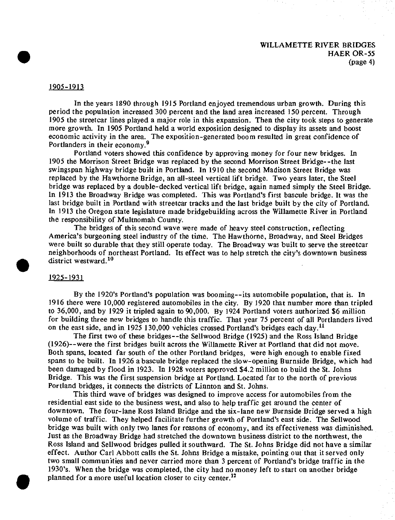#### 1905-1913

In the years 1890 through 1915 Portland enjoyed tremendous urban growth. During this period the population increased 300 percent and the land area increased 150 percent. Through 1905 the streetcar lines played a major role in this expansion. Then the city took steps to generate more growth. In 1905 Portland held a world exposition designed to display its assets and boost economic activity in the area. The exposition-generated boom resulted in great confidence of Portlanders in their economy.<sup>9</sup>

Portland voters showed this confidence by approving money for four new bridges. In 1905 the Morrison Street Bridge was replaced by the second Morrison Street Bridge—the last swingspan highway bridge built in Portland. In 1910 the second Madison Street Bridge was replaced by the Hawthorne Bridge, an all-steel vertical lift bridge. Two years later, the Steel bridge was replaced by a double-decked vertical lift bridge, again named simply the Steel Bridge. In 1913 the Broadway Bridge was completed. This was Portland's first bascule bridge. It was the last bridge built in Portland with streetcar tracks and the last bridge built by the city of Portland. In 1913 the Oregon state legislature made bridgebuilding across the Willamette River in Portland the responsibility of Multnomah County.

The bridges of this second wave were made of heavy steel construction, reflecting America's burgeoning steel industry of the time. The Hawthorne, Broadway, and Steel Bridges were built so durable that they still operate today. The Broadway was built to serve the streetcar neighborhoods of northeast Portland. Its effect was to help stretch the city's downtown business district westward.<sup>10</sup>

#### 1925-1931

By the I920's Portland's population was booming—its automobile population, that is. In 1916 there were 10,000 registered automobiles in the city. By 1920 that number more than tripled to 36,000, and by 1929 it tripled again to 90,000. By 1924 Portland voters authorized \$6 million for building three new bridges to handle this traffic. That year 75 percent of all Portlanders lived on the east side, and in <sup>1925</sup> 130,000 vehicles crossed Portland's bridges each day.<sup>11</sup>

The first two of these bridges—the Sellwood Bridge (1925) and the Ross Island Bridge (1926)—were the first bridges built across the Willamette River at Portland that did not move. Both spans, located far south of the other Portland bridges, were high enough to enable fixed spans to be built. In 1926 a bascule bridge replaced the slow-opening Burnside Bridge, which had been damaged by flood in 1923. In 1928 voters approved \$4.2 million to build the St. Johns Bridge. This was the first suspension bridge at Portland. Located far to the north of previous Portland bridges, it connects the districts of Linnton and St. Johns.

This third wave of bridges was designed to improve access for automobiles from the residential east side to the business west, and also to help traffic get around the center of downtown. The four-lane Ross Island Bridge and the six-lane new Burnside Bridge served a high volume of traffic. They helped facilitate further growth of Portland's east side. The Sellwood bridge was built with only two lanes for reasons of economy, and its effectiveness was diminished. Just as the Broadway Bridge had stretched the downtown business district to the northwest, the Ross Island and Sellwood bridges pulled it southward. The St. Johns Bridge did not have a similar effect. Author Carl Abbott calls the St. Johns Bridge a mistake, pointing out that it served only two small communities and never carried more than 3 percent of Portland's bridge traffic in the 1930's. When the bridge was completed, the city had no money left to start on another bridge planned for a more useful location closer to city center.<sup>12</sup>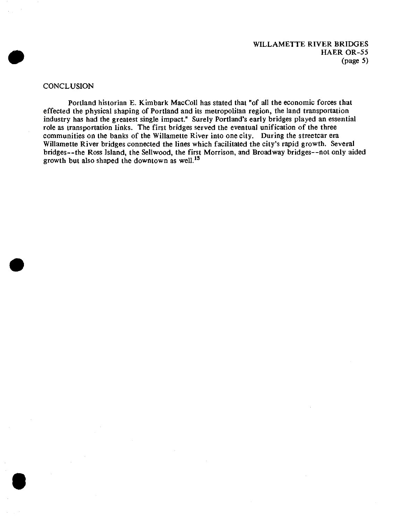### CONCLUSION

**•**

Portland historian E. Kimbark MacColl has stated that "of all the economic forces that effected the physical shaping of Portland and its metropolitan region, the land transportation industry has had the greatest single impact." Surely Portland's early bridges played an essential role as transportation links. The first bridges served the eventual unification of the three communities on the banks of the Willamette River into one city. During the streetcar era Willamette River bridges connected the lines which facilitated the city's rapid growth. Several bridges--the Ross Island, the Sellwood, the first Morrison, and Broadway bridges—not only aided growth but also shaped the downtown as well.<sup>13</sup>